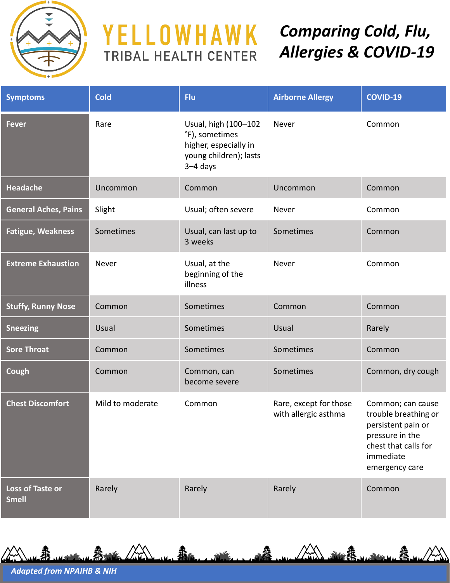

## YELLOWHAWK TRIBAL HEALTH CENTER

## *Comparing Cold, Flu, Allergies & COVID-19*

| <b>Symptoms</b>                  | <b>Cold</b>      | Flu                                                                                                     | <b>Airborne Allergy</b>                        | <b>COVID-19</b>                                                                                                                           |
|----------------------------------|------------------|---------------------------------------------------------------------------------------------------------|------------------------------------------------|-------------------------------------------------------------------------------------------------------------------------------------------|
| <b>Fever</b>                     | Rare             | Usual, high (100-102<br>°F), sometimes<br>higher, especially in<br>young children); lasts<br>$3-4$ days | Never                                          | Common                                                                                                                                    |
| <b>Headache</b>                  | Uncommon         | Common                                                                                                  | Uncommon                                       | Common                                                                                                                                    |
| <b>General Aches, Pains</b>      | Slight           | Usual; often severe                                                                                     | Never                                          | Common                                                                                                                                    |
| <b>Fatigue, Weakness</b>         | Sometimes        | Usual, can last up to<br>3 weeks                                                                        | Sometimes                                      | Common                                                                                                                                    |
| <b>Extreme Exhaustion</b>        | Never            | Usual, at the<br>beginning of the<br>illness                                                            | Never                                          | Common                                                                                                                                    |
| <b>Stuffy, Runny Nose</b>        | Common           | Sometimes                                                                                               | Common                                         | Common                                                                                                                                    |
| <b>Sneezing</b>                  | Usual            | Sometimes                                                                                               | Usual                                          | Rarely                                                                                                                                    |
| <b>Sore Throat</b>               | Common           | Sometimes                                                                                               | Sometimes                                      | Common                                                                                                                                    |
| Cough                            | Common           | Common, can<br>become severe                                                                            | Sometimes                                      | Common, dry cough                                                                                                                         |
| <b>Chest Discomfort</b>          | Mild to moderate | Common                                                                                                  | Rare, except for those<br>with allergic asthma | Common; can cause<br>trouble breathing or<br>persistent pain or<br>pressure in the<br>chest that calls for<br>immediate<br>emergency care |
| Loss of Taste or<br><b>Smell</b> | Rarely           | Rarely                                                                                                  | Rarely                                         | Common                                                                                                                                    |

蠢

*Adapted from NPAIHB & NIH*